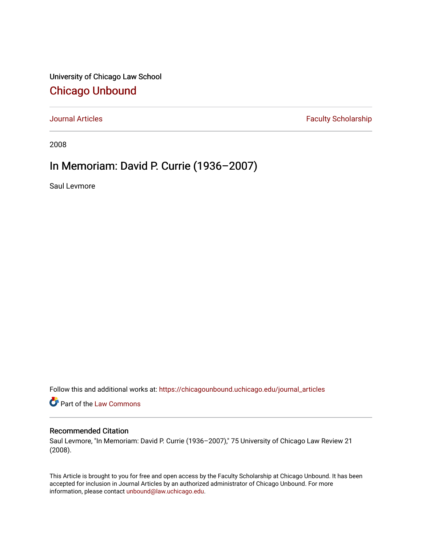University of Chicago Law School [Chicago Unbound](https://chicagounbound.uchicago.edu/)

[Journal Articles](https://chicagounbound.uchicago.edu/journal_articles) **Faculty Scholarship Faculty Scholarship** 

2008

## In Memoriam: David P. Currie (1936–2007)

Saul Levmore

Follow this and additional works at: [https://chicagounbound.uchicago.edu/journal\\_articles](https://chicagounbound.uchicago.edu/journal_articles?utm_source=chicagounbound.uchicago.edu%2Fjournal_articles%2F5544&utm_medium=PDF&utm_campaign=PDFCoverPages) 

Part of the [Law Commons](http://network.bepress.com/hgg/discipline/578?utm_source=chicagounbound.uchicago.edu%2Fjournal_articles%2F5544&utm_medium=PDF&utm_campaign=PDFCoverPages)

## Recommended Citation

Saul Levmore, "In Memoriam: David P. Currie (1936–2007)," 75 University of Chicago Law Review 21 (2008).

This Article is brought to you for free and open access by the Faculty Scholarship at Chicago Unbound. It has been accepted for inclusion in Journal Articles by an authorized administrator of Chicago Unbound. For more information, please contact [unbound@law.uchicago.edu](mailto:unbound@law.uchicago.edu).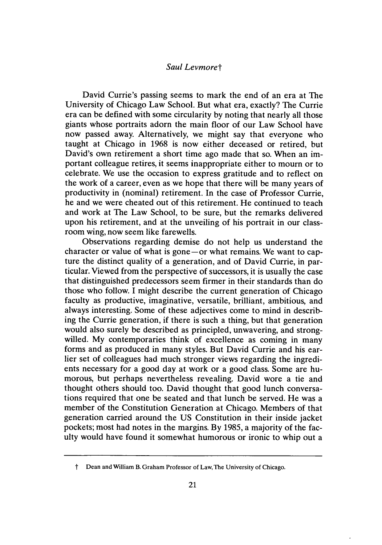## *Saul Levmoret*

David Currie's passing seems to mark the end of an era at The University of Chicago Law School. But what era, exactly? The Currie era can be defined with some circularity by noting that nearly all those giants whose portraits adorn the main floor of our Law School have now passed away. Alternatively, we might say that everyone who taught at Chicago in 1968 is now either deceased or retired, but David's own retirement a short time ago made that so. When an important colleague retires, it seems inappropriate either to mourn or to celebrate. We use the occasion to express gratitude and to reflect on the work of a career, even as we hope that there will be many years of productivity in (nominal) retirement. In the case of Professor Currie, he and we were cheated out of this retirement. He continued to teach and work at The Law School, to be sure, but the remarks delivered upon his retirement, and at the unveiling of his portrait in our classroom wing, now seem like farewells.

Observations regarding demise do not help us understand the character or value of what is gone-or what remains. We want to capture the distinct quality of a generation, and of David Currie, in particular. Viewed from the perspective of successors, it is usually the case that distinguished predecessors seem firmer in their standards than do those who follow. I might describe the current generation of Chicago faculty as productive, imaginative, versatile, brilliant, ambitious, and always interesting. Some of these adjectives come to mind in describing the Currie generation, if there is such a thing, but that generation would also surely be described as principled, unwavering, and strongwilled. My contemporaries think of excellence as coming in many forms and as produced in many styles. But David Currie and his earlier set of colleagues had much stronger views regarding the ingredients necessary for a good day at work or a good class. Some are humorous, but perhaps nevertheless revealing. David wore a tie and thought others should too. David thought that good lunch conversations required that one be seated and that lunch be served. He was a member of the Constitution Generation at Chicago. Members of that generation carried around the US Constitution in their inside jacket pockets; most had notes in the margins. By 1985, a majority of the faculty would have found it somewhat humorous or ironic to whip out a

Dean and William B. Graham Professor of Law, The University of Chicago.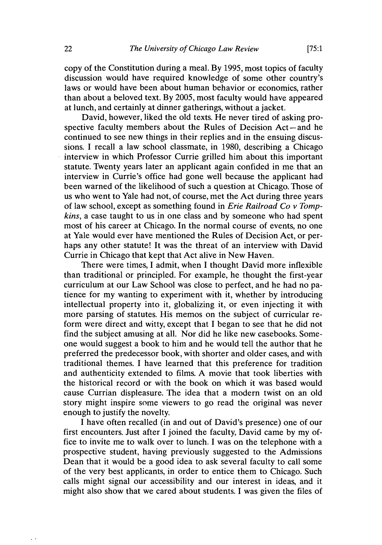copy of the Constitution during a meal. By 1995, most topics of faculty discussion would have required knowledge of some other country's laws or would have been about human behavior or economics, rather than about a beloved text. By 2005, most faculty would have appeared at lunch, and certainly at dinner gatherings, without a jacket.

David, however, liked the old texts. He never tired of asking prospective faculty members about the Rules of Decision Act—and he continued to see new things in their replies and in the ensuing discussions. I recall a law school classmate, in 1980, describing a Chicago interview in which Professor Currie grilled him about this important statute. Twenty years later an applicant again confided in me that an interview in Currie's office had gone well because the applicant had been warned of the likelihood of such a question at Chicago. Those of us who went to Yale had not, of course, met the Act during three years of law school, except as something found in *Erie Railroad Co v Tompkins,* a case taught to us in one class and by someone who had spent most of his career at Chicago. In the normal course of events, no one at Yale would ever have mentioned the Rules of Decision Act, or perhaps any other statute! It was the threat of an interview with David Currie in Chicago that kept that Act alive in New Haven.

There were times, I admit, when I thought David more inflexible than traditional or principled. For example, he thought the first-year curriculum at our Law School was close to perfect, and he had no patience for my wanting to experiment with it, whether by introducing intellectual property into it, globalizing it, or even injecting it with more parsing of statutes. His memos on the subject of curricular reform were direct and witty, except that I began to see that he did not find the subject amusing at all. Nor did he like new casebooks. Someone would suggest a book to him and he would tell the author that he preferred the predecessor book, with shorter and older cases, and with traditional themes. I have learned that this preference for tradition and authenticity extended to films. A movie that took liberties with the historical record or with the book on which it was based would cause Currian displeasure. The idea that a modern twist on an old story might inspire some viewers to go read the original was never enough to justify the novelty.

I have often recalled (in and out of David's presence) one of our first encounters. Just after I joined the faculty, David came by my office to invite me to walk over to lunch. I was on the telephone with a prospective student, having previously suggested to the Admissions Dean that it would be a good idea to ask several faculty to call some of the very best applicants, in order to entice them to Chicago. Such calls might signal our accessibility and our interest in ideas, and it might also show that we cared about students. I was given the files of

22

 $\ddot{\phantom{1}}$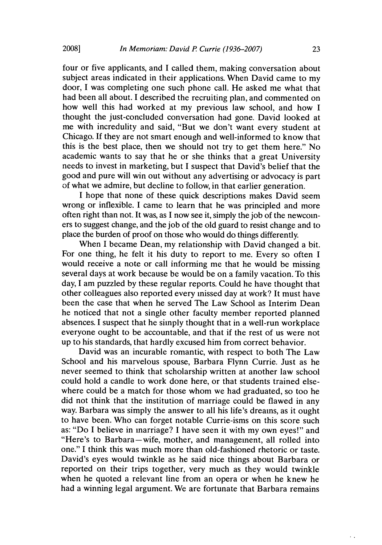four or five applicants, and I called them, making conversation about subject areas indicated in their applications. When David came to my door, I was completing one such phone call. He asked me what that had been all about. I described the recruiting plan, and commented on how well this had worked at my previous law school, and how I thought the just-concluded conversation had gone. David looked at me with incredulity and said, "But we don't want every student at Chicago. If they are not smart enough and well-informed to know that this is the best place, then we should not try to get them here." No academic wants to say that he or she thinks that a great University needs to invest in marketing, but I suspect that David's belief that the good and pure will win out without any advertising or advocacy is part of what we admire, but decline to follow, in that earlier generation.

I hope that none of these quick descriptions makes David seem wrong or inflexible. I came to learn that he was principled and more often right than not. It was, as I now see it, simply the job of the newcomers to suggest change, and the job of the old guard to resist change and to place the burden of proof on those who would do things differently.

When I became Dean, my relationship with David changed a bit. For one thing, he felt it his duty to report to me. Every so often I would receive a note or call informing me that he would be missing several days at work because be would be on a family vacation. To this day, I am puzzled by these regular reports. Could he have thought that other colleagues also reported every missed day at work? It must have been the case that when he served The Law School as Interim Dean he noticed that not a single other faculty member reported planned absences. I suspect that he simply thought that in a well-run workplace everyone ought to be accountable, and that if the rest of us were not up to his standards, that hardly excused him from correct behavior.

David was an incurable romantic, with respect to both The Law School and his marvelous spouse, Barbara Flynn Currie. Just as he never seemed to think that scholarship written at another law school could hold a candle to work done here, or that students trained elsewhere could be a match for those whom we had graduated, so too he did not think that the institution of marriage could be flawed in any way. Barbara was simply the answer to all his life's dreams, as it ought to have been. Who can forget notable Currie-isms on this score such as: "Do I believe in marriage? I have seen it with my own eyes!" and "Here's to Barbara-wife, mother, and management, all rolled into one." I think this was much more than old-fashioned rhetoric or taste. David's eyes would twinkle as he said nice things about Barbara or reported on their trips together, very much as they would twinkle when he quoted a relevant line from an opera or when he knew he had a winning legal argument. We are fortunate that Barbara remains

Ϋ.